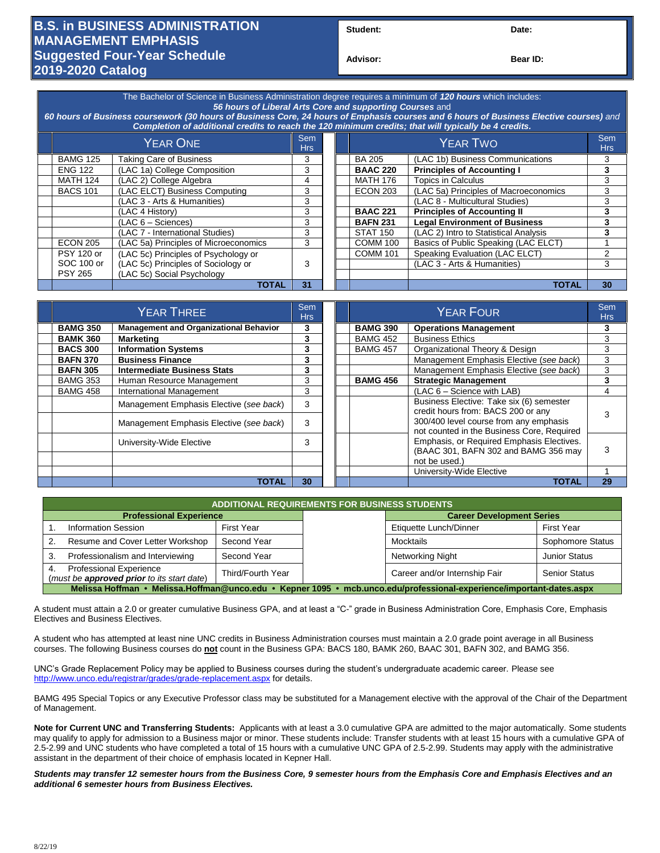## **B.S. in BUSINESS ADMINISTRATION MANAGEMENT EMPHASIS Suggested Four-Year Schedule 2019-2020 Catalog**

**Student: Date:**

**Advisor: Bear ID:** 

| The Bachelor of Science in Business Administration degree requires a minimum of 120 hours which includes:<br>56 hours of Liberal Arts Core and supporting Courses and<br>60 hours of Business coursework (30 hours of Business Core, 24 hours of Emphasis courses and 6 hours of Business Elective courses) and<br>Completion of additional credits to reach the 120 minimum credits; that will typically be 4 credits. |                                       |                   |  |  |                 |                                       |                          |  |
|-------------------------------------------------------------------------------------------------------------------------------------------------------------------------------------------------------------------------------------------------------------------------------------------------------------------------------------------------------------------------------------------------------------------------|---------------------------------------|-------------------|--|--|-----------------|---------------------------------------|--------------------------|--|
| <b>YEAR ONE</b>                                                                                                                                                                                                                                                                                                                                                                                                         |                                       | <b>Sem</b><br>Hrs |  |  | <b>YEAR TWO</b> |                                       | <b>Sem</b><br><b>Hrs</b> |  |
| <b>BAMG 125</b>                                                                                                                                                                                                                                                                                                                                                                                                         | <b>Taking Care of Business</b>        | 3                 |  |  | <b>BA 205</b>   | (LAC 1b) Business Communications      | 3                        |  |
| <b>ENG 122</b>                                                                                                                                                                                                                                                                                                                                                                                                          | (LAC 1a) College Composition          | 3                 |  |  | <b>BAAC 220</b> | <b>Principles of Accounting I</b>     | 3                        |  |
| <b>MATH 124</b>                                                                                                                                                                                                                                                                                                                                                                                                         | (LAC 2) College Algebra               | 4                 |  |  | <b>MATH 176</b> | Topics in Calculus                    | 3                        |  |
| <b>BACS 101</b>                                                                                                                                                                                                                                                                                                                                                                                                         | (LAC ELCT) Business Computing         | 3                 |  |  | <b>ECON 203</b> | (LAC 5a) Principles of Macroeconomics | 3                        |  |
|                                                                                                                                                                                                                                                                                                                                                                                                                         | (LAC 3 - Arts & Humanities)           | 3                 |  |  |                 | (LAC 8 - Multicultural Studies)       | 3                        |  |
|                                                                                                                                                                                                                                                                                                                                                                                                                         | (LAC 4 History)                       | 3                 |  |  | <b>BAAC 221</b> | <b>Principles of Accounting II</b>    | 3                        |  |
|                                                                                                                                                                                                                                                                                                                                                                                                                         | $(LAC 6 - Sciences)$                  | 3                 |  |  | <b>BAFN 231</b> | <b>Legal Environment of Business</b>  | 3                        |  |
|                                                                                                                                                                                                                                                                                                                                                                                                                         | (LAC 7 - International Studies)       | 3                 |  |  | <b>STAT 150</b> | (LAC 2) Intro to Statistical Analysis | 3                        |  |
| <b>ECON 205</b>                                                                                                                                                                                                                                                                                                                                                                                                         | (LAC 5a) Principles of Microeconomics | 3                 |  |  | <b>COMM 100</b> | Basics of Public Speaking (LAC ELCT)  |                          |  |
| <b>PSY 120 or</b>                                                                                                                                                                                                                                                                                                                                                                                                       | (LAC 5c) Principles of Psychology or  |                   |  |  | <b>COMM 101</b> | Speaking Evaluation (LAC ELCT)        | 2                        |  |
| SOC 100 or                                                                                                                                                                                                                                                                                                                                                                                                              | (LAC 5c) Principles of Sociology or   | 3                 |  |  |                 | (LAC 3 - Arts & Humanities)           | 3                        |  |
| <b>PSY 265</b>                                                                                                                                                                                                                                                                                                                                                                                                          | (LAC 5c) Social Psychology            |                   |  |  |                 |                                       |                          |  |
|                                                                                                                                                                                                                                                                                                                                                                                                                         | TOTAL                                 | 31                |  |  |                 | TOTAL                                 | 30                       |  |

| YEAR THREE                                                       |                                         |    |  |                 | Sem<br><b>Hrs</b>                                                                    |    |
|------------------------------------------------------------------|-----------------------------------------|----|--|-----------------|--------------------------------------------------------------------------------------|----|
| <b>Management and Organizational Behavior</b><br><b>BAMG 350</b> |                                         | 3  |  | <b>BAMG 390</b> | <b>Operations Management</b>                                                         |    |
| <b>BAMK 360</b>                                                  | <b>Marketing</b>                        | 3  |  | <b>BAMG 452</b> | <b>Business Ethics</b>                                                               | 3  |
| <b>BACS 300</b>                                                  | <b>Information Systems</b>              | 3  |  | <b>BAMG 457</b> | Organizational Theory & Design                                                       | 3  |
| <b>BAFN 370</b>                                                  | <b>Business Finance</b>                 | 3  |  |                 | Management Emphasis Elective (see back)                                              | 3  |
| <b>BAFN 305</b>                                                  | <b>Intermediate Business Stats</b>      | 3  |  |                 | Management Emphasis Elective (see back)                                              | 3  |
| <b>BAMG 353</b>                                                  | Human Resource Management               | 3  |  | <b>BAMG 456</b> | <b>Strategic Management</b>                                                          |    |
| <b>BAMG 458</b>                                                  | International Management                | 3  |  |                 | $(LAC 6 - Science with LAB)$                                                         |    |
|                                                                  | Management Emphasis Elective (see back) | 3  |  |                 | Business Elective: Take six (6) semester<br>credit hours from: BACS 200 or any       |    |
|                                                                  | Management Emphasis Elective (see back) | 3  |  |                 | 300/400 level course from any emphasis<br>not counted in the Business Core, Required |    |
|                                                                  | University-Wide Elective                | 3  |  |                 | Emphasis, or Required Emphasis Electives.<br>(BAAC 301, BAFN 302 and BAMG 356 may    | 3  |
|                                                                  |                                         |    |  |                 | not be used.)                                                                        |    |
|                                                                  |                                         |    |  |                 | University-Wide Elective                                                             |    |
|                                                                  | <b>TOTAL</b>                            | 30 |  |                 | <b>TOTAL</b>                                                                         | 29 |

| <b>ADDITIONAL REQUIREMENTS FOR BUSINESS STUDENTS</b>                                                                 |                                                                                     |                   |                  |                                  |                      |  |  |  |
|----------------------------------------------------------------------------------------------------------------------|-------------------------------------------------------------------------------------|-------------------|------------------|----------------------------------|----------------------|--|--|--|
|                                                                                                                      | <b>Professional Experience</b>                                                      |                   |                  | <b>Career Development Series</b> |                      |  |  |  |
|                                                                                                                      | <b>Information Session</b>                                                          | First Year        |                  | Etiquette Lunch/Dinner           | <b>First Year</b>    |  |  |  |
| Resume and Cover Letter Workshop<br>Second Year                                                                      |                                                                                     |                   | Mocktails        | Sophomore Status                 |                      |  |  |  |
| Professionalism and Interviewing<br>Second Year                                                                      |                                                                                     |                   | Networking Night | <b>Junior Status</b>             |                      |  |  |  |
|                                                                                                                      | <b>Professional Experience</b><br>(must be <b>approved prior</b> to its start date) | Third/Fourth Year |                  | Career and/or Internship Fair    | <b>Senior Status</b> |  |  |  |
| Melissa Hoffman • Melissa.Hoffman@unco.edu • Kepner 1095 • mcb.unco.edu/professional-experience/important-dates.aspx |                                                                                     |                   |                  |                                  |                      |  |  |  |

A student must attain a 2.0 or greater cumulative Business GPA, and at least a "C-" grade in Business Administration Core, Emphasis Core, Emphasis Electives and Business Electives.

A student who has attempted at least nine UNC credits in Business Administration courses must maintain a 2.0 grade point average in all Business courses. The following Business courses do **not** count in the Business GPA: BACS 180, BAMK 260, BAAC 301, BAFN 302, and BAMG 356.

UNC's Grade Replacement Policy may be applied to Business courses during the student's undergraduate academic career. Please see <http://www.unco.edu/registrar/grades/grade-replacement.aspx> for details.

BAMG 495 Special Topics or any Executive Professor class may be substituted for a Management elective with the approval of the Chair of the Department of Management.

**Note for Current UNC and Transferring Students:** Applicants with at least a 3.0 cumulative GPA are admitted to the major automatically. Some students may qualify to apply for admission to a Business major or minor. These students include: Transfer students with at least 15 hours with a cumulative GPA of 2.5-2.99 and UNC students who have completed a total of 15 hours with a cumulative UNC GPA of 2.5-2.99. Students may apply with the administrative assistant in the department of their choice of emphasis located in Kepner Hall.

*Students may transfer 12 semester hours from the Business Core, 9 semester hours from the Emphasis Core and Emphasis Electives and an additional 6 semester hours from Business Electives.*